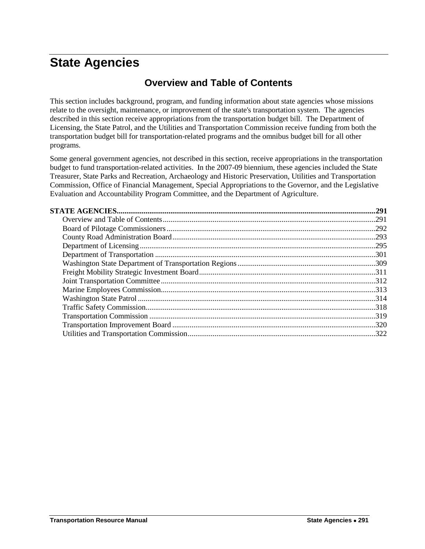# <span id="page-0-1"></span><span id="page-0-0"></span>**State Agencies**

## **Overview and Table of Contents**

This section includes background, program, and funding information about state agencies whose missions relate to the oversight, maintenance, or improvement of the state's transportation system. The agencies described in this section receive appropriations from the transportation budget bill. The Department of Licensing, the State Patrol, and the Utilities and Transportation Commission receive funding from both the transportation budget bill for transportation-related programs and the omnibus budget bill for all other programs.

Some general government agencies, not described in this section, receive appropriations in the transportation budget to fund transportation-related activities. In the 2007-09 biennium, these agencies included the State Treasurer, State Parks and Recreation, Archaeology and Historic Preservation, Utilities and Transportation Commission, Office of Financial Management, Special Appropriations to the Governor, and the Legislative Evaluation and Accountability Program Committee, and the Department of Agriculture.

| .291 |
|------|
| .291 |
|      |
|      |
|      |
|      |
|      |
|      |
|      |
|      |
|      |
|      |
|      |
|      |
|      |
|      |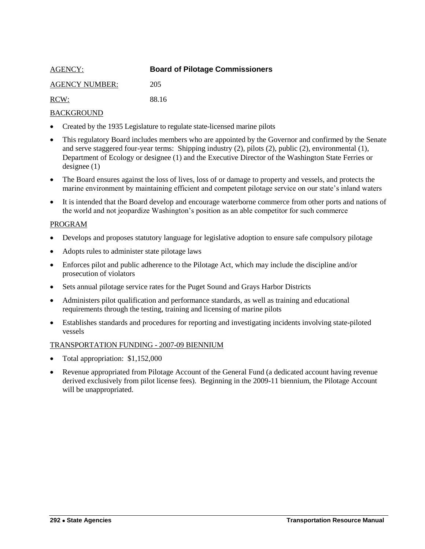<span id="page-1-0"></span>

| <b>AGENCY:</b>        | <b>Board of Pilotage Commissioners</b> |
|-----------------------|----------------------------------------|
| <b>AGENCY NUMBER:</b> | 205                                    |
| RCW:                  | 88 16                                  |

- Created by the 1935 Legislature to regulate state-licensed marine pilots
- This regulatory Board includes members who are appointed by the Governor and confirmed by the Senate and serve staggered four-year terms: Shipping industry (2), pilots (2), public (2), environmental (1), Department of Ecology or designee (1) and the Executive Director of the Washington State Ferries or designee (1)
- The Board ensures against the loss of lives, loss of or damage to property and vessels, and protects the marine environment by maintaining efficient and competent pilotage service on our state's inland waters
- It is intended that the Board develop and encourage waterborne commerce from other ports and nations of the world and not jeopardize Washington's position as an able competitor for such commerce

#### PROGRAM

- Develops and proposes statutory language for legislative adoption to ensure safe compulsory pilotage
- Adopts rules to administer state pilotage laws
- Enforces pilot and public adherence to the Pilotage Act, which may include the discipline and/or prosecution of violators
- Sets annual pilotage service rates for the Puget Sound and Grays Harbor Districts
- Administers pilot qualification and performance standards, as well as training and educational requirements through the testing, training and licensing of marine pilots
- Establishes standards and procedures for reporting and investigating incidents involving state-piloted vessels

- Total appropriation: \$1,152,000
- Revenue appropriated from Pilotage Account of the General Fund (a dedicated account having revenue derived exclusively from pilot license fees). Beginning in the 2009-11 biennium, the Pilotage Account will be unappropriated.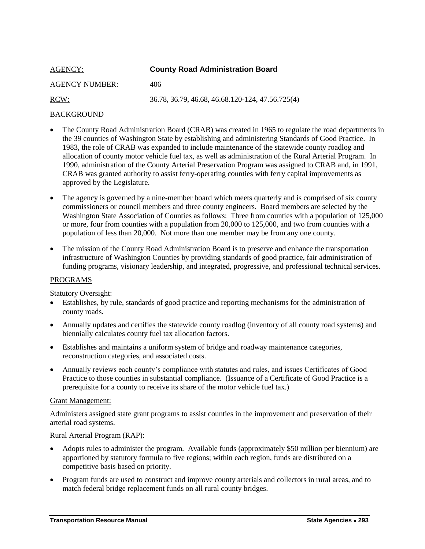<span id="page-2-0"></span>

| AGENCY:               | <b>County Road Administration Board</b>          |
|-----------------------|--------------------------------------------------|
| <b>AGENCY NUMBER:</b> | 406                                              |
| RCW:                  | 36.78, 36.79, 46.68, 46.68.120-124, 47.56.725(4) |

- The County Road Administration Board (CRAB) was created in 1965 to regulate the road departments in the 39 counties of Washington State by establishing and administering Standards of Good Practice. In 1983, the role of CRAB was expanded to include maintenance of the statewide county roadlog and allocation of county motor vehicle fuel tax, as well as administration of the Rural Arterial Program. In 1990, administration of the County Arterial Preservation Program was assigned to CRAB and, in 1991, CRAB was granted authority to assist ferry-operating counties with ferry capital improvements as approved by the Legislature.
- The agency is governed by a nine-member board which meets quarterly and is comprised of six county commissioners or council members and three county engineers. Board members are selected by the Washington State Association of Counties as follows: Three from counties with a population of 125,000 or more, four from counties with a population from 20,000 to 125,000, and two from counties with a population of less than 20,000. Not more than one member may be from any one county.
- The mission of the County Road Administration Board is to preserve and enhance the transportation infrastructure of Washington Counties by providing standards of good practice, fair administration of funding programs, visionary leadership, and integrated, progressive, and professional technical services.

#### PROGRAMS

#### Statutory Oversight:

- Establishes, by rule, standards of good practice and reporting mechanisms for the administration of county roads.
- Annually updates and certifies the statewide county roadlog (inventory of all county road systems) and biennially calculates county fuel tax allocation factors.
- Establishes and maintains a uniform system of bridge and roadway maintenance categories, reconstruction categories, and associated costs.
- Annually reviews each county's compliance with statutes and rules, and issues Certificates of Good Practice to those counties in substantial compliance. (Issuance of a Certificate of Good Practice is a prerequisite for a county to receive its share of the motor vehicle fuel tax.)

#### Grant Management:

Administers assigned state grant programs to assist counties in the improvement and preservation of their arterial road systems.

#### Rural Arterial Program (RAP):

- Adopts rules to administer the program. Available funds (approximately \$50 million per biennium) are apportioned by statutory formula to five regions; within each region, funds are distributed on a competitive basis based on priority.
- Program funds are used to construct and improve county arterials and collectors in rural areas, and to match federal bridge replacement funds on all rural county bridges.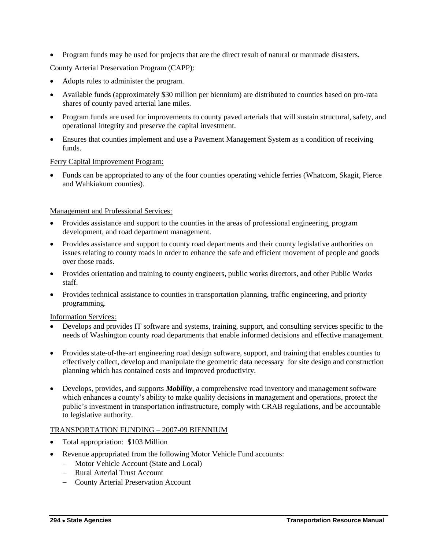• Program funds may be used for projects that are the direct result of natural or manmade disasters.

County Arterial Preservation Program (CAPP):

- Adopts rules to administer the program.
- Available funds (approximately \$30 million per biennium) are distributed to counties based on pro-rata shares of county paved arterial lane miles.
- Program funds are used for improvements to county paved arterials that will sustain structural, safety, and operational integrity and preserve the capital investment.
- Ensures that counties implement and use a Pavement Management System as a condition of receiving funds.

#### Ferry Capital Improvement Program:

 Funds can be appropriated to any of the four counties operating vehicle ferries (Whatcom, Skagit, Pierce and Wahkiakum counties).

## Management and Professional Services:

- Provides assistance and support to the counties in the areas of professional engineering, program development, and road department management.
- Provides assistance and support to county road departments and their county legislative authorities on issues relating to county roads in order to enhance the safe and efficient movement of people and goods over those roads.
- Provides orientation and training to county engineers, public works directors, and other Public Works staff.
- Provides technical assistance to counties in transportation planning, traffic engineering, and priority programming.

Information Services:

- Develops and provides IT software and systems, training, support, and consulting services specific to the needs of Washington county road departments that enable informed decisions and effective management.
- Provides state-of-the-art engineering road design software, support, and training that enables counties to effectively collect, develop and manipulate the geometric data necessary for site design and construction planning which has contained costs and improved productivity.
- Develops, provides, and supports *Mobility*, a comprehensive road inventory and management software which enhances a county's ability to make quality decisions in management and operations, protect the public's investment in transportation infrastructure, comply with CRAB regulations, and be accountable to legislative authority.

- Total appropriation: \$103 Million
- Revenue appropriated from the following Motor Vehicle Fund accounts:
	- Motor Vehicle Account (State and Local)
	- Rural Arterial Trust Account
	- County Arterial Preservation Account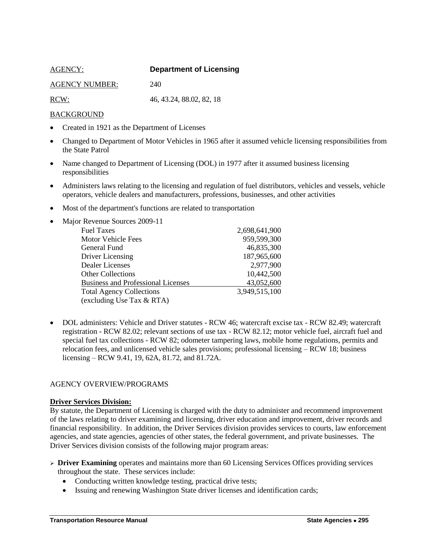<span id="page-4-0"></span>

| AGENCY:               | <b>Department of Licensing</b> |
|-----------------------|--------------------------------|
| <b>AGENCY NUMBER:</b> | 240                            |
| RCW:                  | 46, 43.24, 88.02, 82, 18       |

- Created in 1921 as the Department of Licenses
- Changed to Department of Motor Vehicles in 1965 after it assumed vehicle licensing responsibilities from the State Patrol
- Name changed to Department of Licensing (DOL) in 1977 after it assumed business licensing responsibilities
- Administers laws relating to the licensing and regulation of fuel distributors, vehicles and vessels, vehicle operators, vehicle dealers and manufacturers, professions, businesses, and other activities
- Most of the department's functions are related to transportation

| Major Revenue Sources 2009-11<br>$\bullet$ |               |
|--------------------------------------------|---------------|
| <b>Fuel Taxes</b>                          | 2,698,641,900 |
| Motor Vehicle Fees                         | 959,599,300   |
| General Fund                               | 46,835,300    |
| Driver Licensing                           | 187,965,600   |
| Dealer Licenses                            | 2,977,900     |
| <b>Other Collections</b>                   | 10,442,500    |
| <b>Business and Professional Licenses</b>  | 43,052,600    |
| <b>Total Agency Collections</b>            | 3,949,515,100 |
| (excluding Use Tax & RTA)                  |               |

• DOL administers: Vehicle and Driver statutes - RCW 46; watercraft excise tax - RCW 82.49; watercraft registration - RCW 82.02; relevant sections of use tax - RCW 82.12; motor vehicle fuel, aircraft fuel and special fuel tax collections - RCW 82; odometer tampering laws, mobile home regulations, permits and relocation fees, and unlicensed vehicle sales provisions; professional licensing – RCW 18; business licensing – RCW 9.41, 19, 62A, 81.72, and 81.72A.

#### AGENCY OVERVIEW/PROGRAMS

#### **Driver Services Division:**

By statute, the Department of Licensing is charged with the duty to administer and recommend improvement of the laws relating to driver examining and licensing, driver education and improvement, driver records and financial responsibility. In addition, the Driver Services division provides services to courts, law enforcement agencies, and state agencies, agencies of other states, the federal government, and private businesses. The Driver Services division consists of the following major program areas:

- **Driver Examining** operates and maintains more than 60 Licensing Services Offices providing services throughout the state. These services include:
	- Conducting written knowledge testing, practical drive tests;
	- Issuing and renewing Washington State driver licenses and identification cards;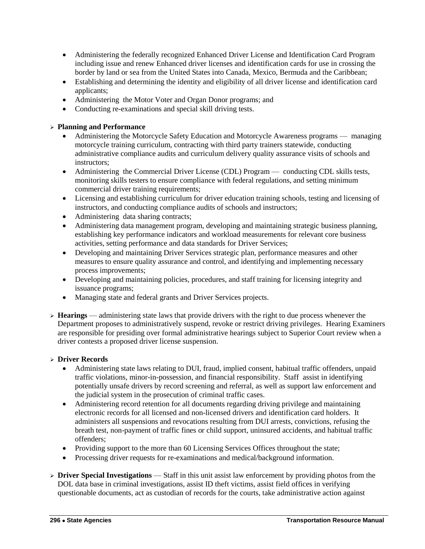- Administering the federally recognized Enhanced Driver License and Identification Card Program including issue and renew Enhanced driver licenses and identification cards for use in crossing the border by land or sea from the United States into Canada, Mexico, Bermuda and the Caribbean;
- Establishing and determining the identity and eligibility of all driver license and identification card applicants;
- Administering the Motor Voter and Organ Donor programs; and
- Conducting re-examinations and special skill driving tests.

## **Planning and Performance**

- Administering the Motorcycle Safety Education and Motorcycle Awareness programs managing motorcycle training curriculum, contracting with third party trainers statewide, conducting administrative compliance audits and curriculum delivery quality assurance visits of schools and instructors;
- Administering the Commercial Driver License (CDL) Program conducting CDL skills tests, monitoring skills testers to ensure compliance with federal regulations, and setting minimum commercial driver training requirements;
- Licensing and establishing curriculum for driver education training schools, testing and licensing of instructors, and conducting compliance audits of schools and instructors;
- Administering data sharing contracts;
- Administering data management program, developing and maintaining strategic business planning, establishing key performance indicators and workload measurements for relevant core business activities, setting performance and data standards for Driver Services;
- Developing and maintaining Driver Services strategic plan, performance measures and other measures to ensure quality assurance and control, and identifying and implementing necessary process improvements;
- Developing and maintaining policies, procedures, and staff training for licensing integrity and issuance programs;
- Managing state and federal grants and Driver Services projects.
- **Hearings**  administering state laws that provide drivers with the right to due process whenever the Department proposes to administratively suspend, revoke or restrict driving privileges. Hearing Examiners are responsible for presiding over formal administrative hearings subject to Superior Court review when a driver contests a proposed driver license suspension.

#### **Driver Records**

- Administering state laws relating to DUI, fraud, implied consent, habitual traffic offenders, unpaid traffic violations, minor-in-possession, and financial responsibility. Staff assist in identifying potentially unsafe drivers by record screening and referral, as well as support law enforcement and the judicial system in the prosecution of criminal traffic cases.
- Administering record retention for all documents regarding driving privilege and maintaining electronic records for all licensed and non-licensed drivers and identification card holders. It administers all suspensions and revocations resulting from DUI arrests, convictions, refusing the breath test, non-payment of traffic fines or child support, uninsured accidents, and habitual traffic offenders;
- Providing support to the more than 60 Licensing Services Offices throughout the state;
- Processing driver requests for re-examinations and medical/background information.
- $\triangleright$  **Driver Special Investigations** Staff in this unit assist law enforcement by providing photos from the DOL data base in criminal investigations, assist ID theft victims, assist field offices in verifying questionable documents, act as custodian of records for the courts, take administrative action against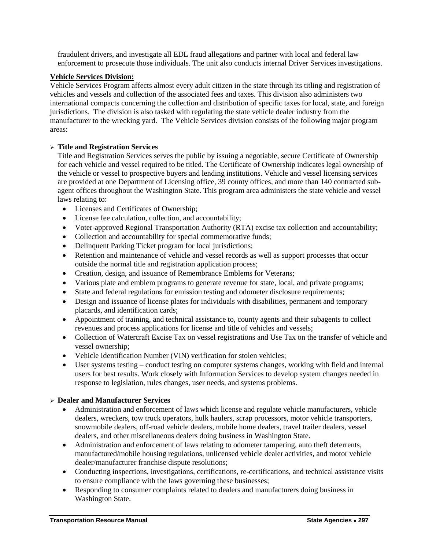fraudulent drivers, and investigate all EDL fraud allegations and partner with local and federal law enforcement to prosecute those individuals. The unit also conducts internal Driver Services investigations.

#### **Vehicle Services Division:**

Vehicle Services Program affects almost every adult citizen in the state through its titling and registration of vehicles and vessels and collection of the associated fees and taxes. This division also administers two international compacts concerning the collection and distribution of specific taxes for local, state, and foreign jurisdictions. The division is also tasked with regulating the state vehicle dealer industry from the manufacturer to the wrecking yard. The Vehicle Services division consists of the following major program areas:

#### **Title and Registration Services**

Title and Registration Services serves the public by issuing a negotiable, secure Certificate of Ownership for each vehicle and vessel required to be titled. The Certificate of Ownership indicates legal ownership of the vehicle or vessel to prospective buyers and lending institutions. Vehicle and vessel licensing services are provided at one Department of Licensing office, 39 county offices, and more than 140 contracted subagent offices throughout the Washington State. This program area administers the state vehicle and vessel laws relating to:

- Licenses and Certificates of Ownership;
- License fee calculation, collection, and accountability;
- Voter-approved Regional Transportation Authority (RTA) excise tax collection and accountability;
- Collection and accountability for special commemorative funds;
- Delinquent Parking Ticket program for local jurisdictions;
- Retention and maintenance of vehicle and vessel records as well as support processes that occur outside the normal title and registration application process;
- Creation, design, and issuance of Remembrance Emblems for Veterans;
- Various plate and emblem programs to generate revenue for state, local, and private programs;
- State and federal regulations for emission testing and odometer disclosure requirements;
- Design and issuance of license plates for individuals with disabilities, permanent and temporary placards, and identification cards;
- Appointment of training, and technical assistance to, county agents and their subagents to collect revenues and process applications for license and title of vehicles and vessels;
- Collection of Watercraft Excise Tax on vessel registrations and Use Tax on the transfer of vehicle and vessel ownership;
- Vehicle Identification Number (VIN) verification for stolen vehicles;
- User systems testing conduct testing on computer systems changes, working with field and internal users for best results. Work closely with Information Services to develop system changes needed in response to legislation, rules changes, user needs, and systems problems.

## **Dealer and Manufacturer Services**

- Administration and enforcement of laws which license and regulate vehicle manufacturers, vehicle dealers, wreckers, tow truck operators, hulk haulers, scrap processors, motor vehicle transporters, snowmobile dealers, off-road vehicle dealers, mobile home dealers, travel trailer dealers, vessel dealers, and other miscellaneous dealers doing business in Washington State.
- Administration and enforcement of laws relating to odometer tampering, auto theft deterrents, manufactured/mobile housing regulations, unlicensed vehicle dealer activities, and motor vehicle dealer/manufacturer franchise dispute resolutions;
- Conducting inspections, investigations, certifications, re-certifications, and technical assistance visits to ensure compliance with the laws governing these businesses;
- Responding to consumer complaints related to dealers and manufacturers doing business in Washington State.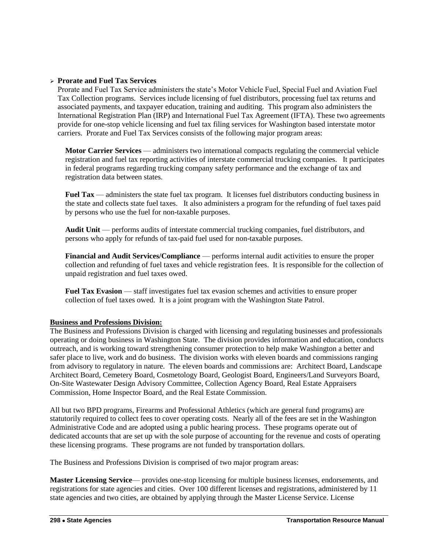## **Prorate and Fuel Tax Services**

Prorate and Fuel Tax Service administers the state's Motor Vehicle Fuel, Special Fuel and Aviation Fuel Tax Collection programs. Services include licensing of fuel distributors, processing fuel tax returns and associated payments, and taxpayer education, training and auditing. This program also administers the International Registration Plan (IRP) and International Fuel Tax Agreement (IFTA). These two agreements provide for one-stop vehicle licensing and fuel tax filing services for Washington based interstate motor carriers. Prorate and Fuel Tax Services consists of the following major program areas:

**Motor Carrier Services** — administers two international compacts regulating the commercial vehicle registration and fuel tax reporting activities of interstate commercial trucking companies. It participates in federal programs regarding trucking company safety performance and the exchange of tax and registration data between states.

Fuel Tax — administers the state fuel tax program. It licenses fuel distributors conducting business in the state and collects state fuel taxes. It also administers a program for the refunding of fuel taxes paid by persons who use the fuel for non-taxable purposes.

**Audit Unit** — performs audits of interstate commercial trucking companies, fuel distributors, and persons who apply for refunds of tax-paid fuel used for non-taxable purposes.

**Financial and Audit Services/Compliance** — performs internal audit activities to ensure the proper collection and refunding of fuel taxes and vehicle registration fees. It is responsible for the collection of unpaid registration and fuel taxes owed.

**Fuel Tax Evasion** — staff investigates fuel tax evasion schemes and activities to ensure proper collection of fuel taxes owed. It is a joint program with the Washington State Patrol.

## **Business and Professions Division:**

The Business and Professions Division is charged with licensing and regulating businesses and professionals operating or doing business in Washington State. The division provides information and education, conducts outreach, and is working toward strengthening consumer protection to help make Washington a better and safer place to live, work and do business. The division works with eleven boards and commissions ranging from advisory to regulatory in nature. The eleven boards and commissions are: Architect Board, Landscape Architect Board, Cemetery Board, Cosmetology Board, Geologist Board, Engineers/Land Surveyors Board, On-Site Wastewater Design Advisory Committee, Collection Agency Board, Real Estate Appraisers Commission, Home Inspector Board, and the Real Estate Commission.

All but two BPD programs, Firearms and Professional Athletics (which are general fund programs) are statutorily required to collect fees to cover operating costs. Nearly all of the fees are set in the Washington Administrative Code and are adopted using a public hearing process. These programs operate out of dedicated accounts that are set up with the sole purpose of accounting for the revenue and costs of operating these licensing programs. These programs are not funded by transportation dollars.

The Business and Professions Division is comprised of two major program areas:

**Master Licensing Service**— provides one-stop licensing for multiple business licenses, endorsements, and registrations for state agencies and cities. Over 100 different licenses and registrations, administered by 11 state agencies and two cities, are obtained by applying through the Master License Service. License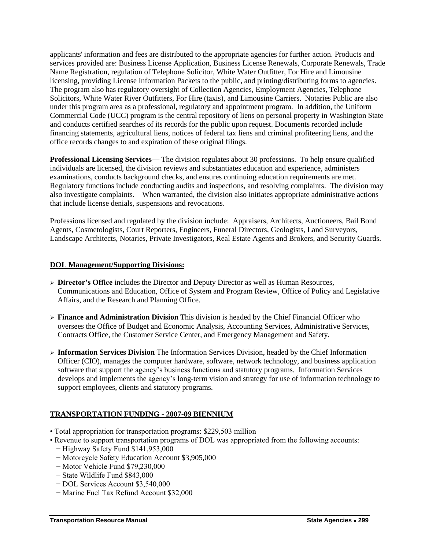applicants' information and fees are distributed to the appropriate agencies for further action. Products and services provided are: Business License Application, Business License Renewals, Corporate Renewals, Trade Name Registration, regulation of Telephone Solicitor, White Water Outfitter, For Hire and Limousine licensing, providing License Information Packets to the public, and printing/distributing forms to agencies. The program also has regulatory oversight of Collection Agencies, Employment Agencies, Telephone Solicitors, White Water River Outfitters, For Hire (taxis), and Limousine Carriers. Notaries Public are also under this program area as a professional, regulatory and appointment program. In addition, the Uniform Commercial Code (UCC) program is the central repository of liens on personal property in Washington State and conducts certified searches of its records for the public upon request. Documents recorded include financing statements, agricultural liens, notices of federal tax liens and criminal profiteering liens, and the office records changes to and expiration of these original filings.

**Professional Licensing Services**— The division regulates about 30 professions. To help ensure qualified individuals are licensed, the division reviews and substantiates education and experience, administers examinations, conducts background checks, and ensures continuing education requirements are met. Regulatory functions include conducting audits and inspections, and resolving complaints. The division may also investigate complaints. When warranted, the division also initiates appropriate administrative actions that include license denials, suspensions and revocations.

Professions licensed and regulated by the division include: Appraisers, Architects, Auctioneers, Bail Bond Agents, Cosmetologists, Court Reporters, Engineers, Funeral Directors, Geologists, Land Surveyors, Landscape Architects, Notaries, Private Investigators, Real Estate Agents and Brokers, and Security Guards.

## **DOL Management/Supporting Divisions:**

- **Director's Office** includes the Director and Deputy Director as well as Human Resources, Communications and Education, Office of System and Program Review, Office of Policy and Legislative Affairs, and the Research and Planning Office.
- **Finance and Administration Division** This division is headed by the Chief Financial Officer who oversees the Office of Budget and Economic Analysis, Accounting Services, Administrative Services, Contracts Office, the Customer Service Center, and Emergency Management and Safety.
- **Information Services Division** The Information Services Division, headed by the Chief Information Officer (CIO), manages the computer hardware, software, network technology, and business application software that support the agency's business functions and statutory programs. Information Services develops and implements the agency's long-term vision and strategy for use of information technology to support employees, clients and statutory programs.

- Total appropriation for transportation programs: \$229,503 million
- Revenue to support transportation programs of DOL was appropriated from the following accounts:
	- − Highway Safety Fund \$141,953,000
	- − Motorcycle Safety Education Account \$3,905,000
	- − Motor Vehicle Fund \$79,230,000
	- − State Wildlife Fund \$843,000
	- − DOL Services Account \$3,540,000
	- − Marine Fuel Tax Refund Account \$32,000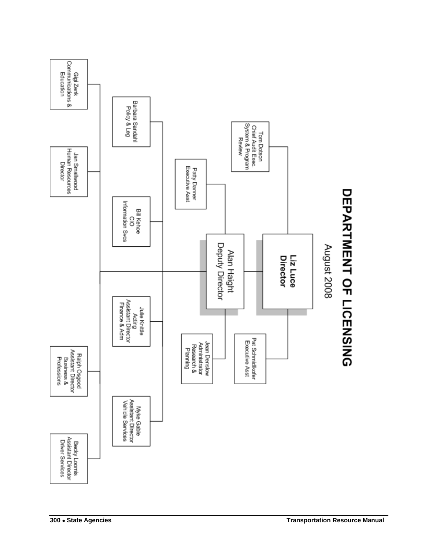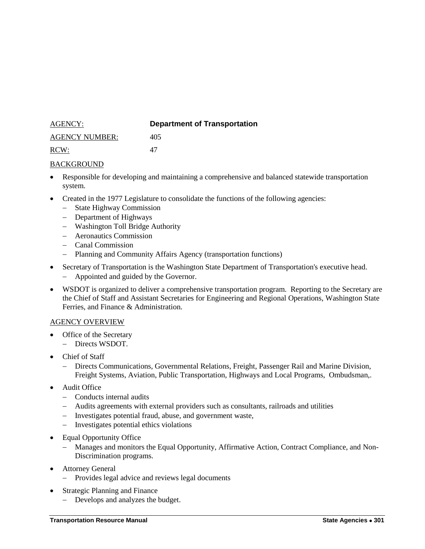<span id="page-10-0"></span>

| AGENCY:               | <b>Department of Transportation</b> |
|-----------------------|-------------------------------------|
| <b>AGENCY NUMBER:</b> | 405                                 |
| RCW:                  | 47                                  |

- Responsible for developing and maintaining a comprehensive and balanced statewide transportation system.
- Created in the 1977 Legislature to consolidate the functions of the following agencies:
	- State Highway Commission
	- Department of Highways
	- Washington Toll Bridge Authority
	- Aeronautics Commission
	- Canal Commission
	- Planning and Community Affairs Agency (transportation functions)
- Secretary of Transportation is the Washington State Department of Transportation's executive head.
	- Appointed and guided by the Governor.
- WSDOT is organized to deliver a comprehensive transportation program. Reporting to the Secretary are the Chief of Staff and Assistant Secretaries for Engineering and Regional Operations, Washington State Ferries, and Finance & Administration.

#### AGENCY OVERVIEW

- Office of the Secretary
	- Directs WSDOT.
- Chief of Staff
	- Directs Communications, Governmental Relations, Freight, Passenger Rail and Marine Division, Freight Systems, Aviation, Public Transportation, Highways and Local Programs, Ombudsman,.
- Audit Office
	- Conducts internal audits
	- Audits agreements with external providers such as consultants, railroads and utilities
	- Investigates potential fraud, abuse, and government waste,
	- Investigates potential ethics violations
- Equal Opportunity Office
	- Manages and monitors the Equal Opportunity, Affirmative Action, Contract Compliance, and Non-Discrimination programs.
- Attorney General
	- Provides legal advice and reviews legal documents
- Strategic Planning and Finance
	- Develops and analyzes the budget.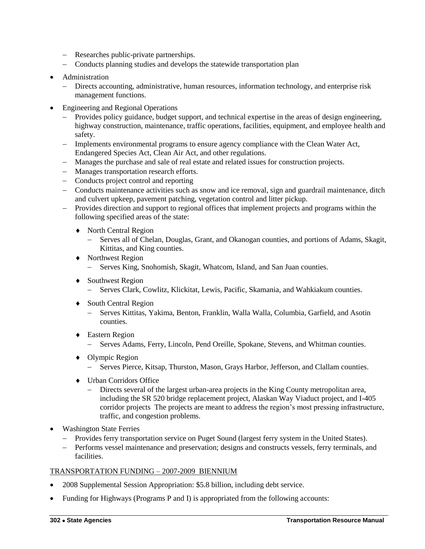- Researches public-private partnerships.
- Conducts planning studies and develops the statewide transportation plan
- Administration
	- Directs accounting, administrative, human resources, information technology, and enterprise risk management functions.
- Engineering and Regional Operations
	- Provides policy guidance, budget support, and technical expertise in the areas of design engineering, highway construction, maintenance, traffic operations, facilities, equipment, and employee health and safety.
	- Implements environmental programs to ensure agency compliance with the Clean Water Act, Endangered Species Act, Clean Air Act, and other regulations.
	- Manages the purchase and sale of real estate and related issues for construction projects.
	- Manages transportation research efforts.
	- Conducts project control and reporting
	- Conducts maintenance activities such as snow and ice removal, sign and guardrail maintenance, ditch and culvert upkeep, pavement patching, vegetation control and litter pickup.
	- Provides direction and support to regional offices that implement projects and programs within the following specified areas of the state:
		- ◆ North Central Region
			- Serves all of Chelan, Douglas, Grant, and Okanogan counties, and portions of Adams, Skagit, Kittitas, and King counties.
		- ◆ Northwest Region
			- Serves King, Snohomish, Skagit, Whatcom, Island, and San Juan counties.
		- ◆ Southwest Region
			- Serves Clark, Cowlitz, Klickitat, Lewis, Pacific, Skamania, and Wahkiakum counties.
		- ◆ South Central Region
			- Serves Kittitas, Yakima, Benton, Franklin, Walla Walla, Columbia, Garfield, and Asotin counties.
		- Eastern Region
			- Serves Adams, Ferry, Lincoln, Pend Oreille, Spokane, Stevens, and Whitman counties.
		- ◆ Olympic Region
			- Serves Pierce, Kitsap, Thurston, Mason, Grays Harbor, Jefferson, and Clallam counties.
		- Urban Corridors Office
			- Directs several of the largest urban-area projects in the King County metropolitan area, including the SR 520 bridge replacement project, Alaskan Way Viaduct project, and I-405 corridor projects The projects are meant to address the region's most pressing infrastructure, traffic, and congestion problems.
- Washington State Ferries
	- Provides ferry transportation service on Puget Sound (largest ferry system in the United States).
	- Performs vessel maintenance and preservation; designs and constructs vessels, ferry terminals, and facilities.

- 2008 Supplemental Session Appropriation: \$5.8 billion, including debt service.
- Funding for Highways (Programs P and I) is appropriated from the following accounts: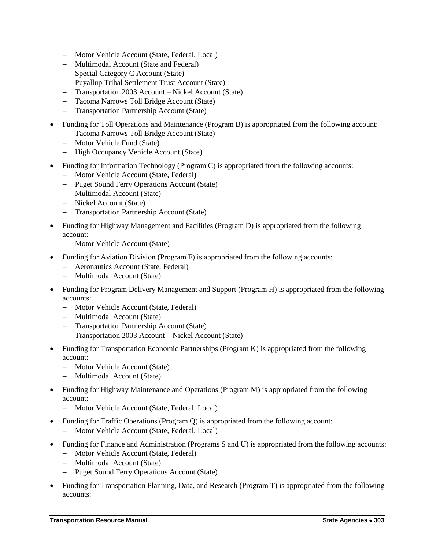- Motor Vehicle Account (State, Federal, Local)
- Multimodal Account (State and Federal)
- Special Category C Account (State)
- Puyallup Tribal Settlement Trust Account (State)
- Transportation 2003 Account Nickel Account (State)
- Tacoma Narrows Toll Bridge Account (State)
- Transportation Partnership Account (State)
- Funding for Toll Operations and Maintenance (Program B) is appropriated from the following account:
	- Tacoma Narrows Toll Bridge Account (State)
	- Motor Vehicle Fund (State)
	- High Occupancy Vehicle Account (State)
- Funding for Information Technology (Program C) is appropriated from the following accounts:
	- Motor Vehicle Account (State, Federal)
	- Puget Sound Ferry Operations Account (State)
	- Multimodal Account (State)
	- Nickel Account (State)
	- Transportation Partnership Account (State)
- Funding for Highway Management and Facilities (Program D) is appropriated from the following account:
	- Motor Vehicle Account (State)
- Funding for Aviation Division (Program F) is appropriated from the following accounts:
	- Aeronautics Account (State, Federal)
	- Multimodal Account (State)
- Funding for Program Delivery Management and Support (Program H) is appropriated from the following accounts:
	- Motor Vehicle Account (State, Federal)
	- Multimodal Account (State)
	- Transportation Partnership Account (State)
	- Transportation 2003 Account Nickel Account (State)
- Funding for Transportation Economic Partnerships (Program K) is appropriated from the following account:
	- Motor Vehicle Account (State)
	- Multimodal Account (State)
- Funding for Highway Maintenance and Operations (Program M) is appropriated from the following account:
	- Motor Vehicle Account (State, Federal, Local)
- Funding for Traffic Operations (Program Q) is appropriated from the following account:
	- Motor Vehicle Account (State, Federal, Local)
- Funding for Finance and Administration (Programs S and U) is appropriated from the following accounts:
	- Motor Vehicle Account (State, Federal)
	- Multimodal Account (State)
	- Puget Sound Ferry Operations Account (State)
- Funding for Transportation Planning, Data, and Research (Program T) is appropriated from the following accounts: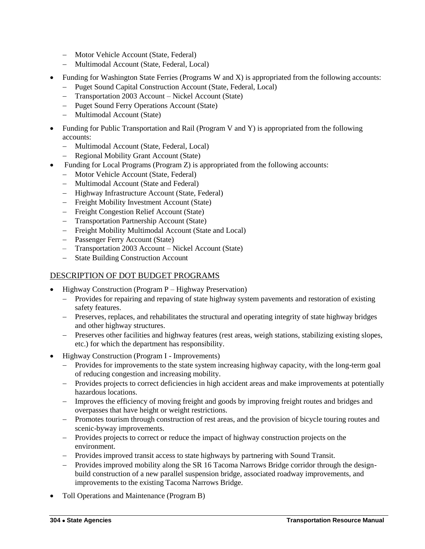- Motor Vehicle Account (State, Federal)
- Multimodal Account (State, Federal, Local)
- Funding for Washington State Ferries (Programs W and X) is appropriated from the following accounts:
	- Puget Sound Capital Construction Account (State, Federal, Local)
	- Transportation 2003 Account Nickel Account (State)
	- Puget Sound Ferry Operations Account (State)
	- Multimodal Account (State)
- Funding for Public Transportation and Rail (Program V and Y) is appropriated from the following accounts:
	- Multimodal Account (State, Federal, Local)
	- Regional Mobility Grant Account (State)
- Funding for Local Programs (Program Z) is appropriated from the following accounts:
	- Motor Vehicle Account (State, Federal)
	- Multimodal Account (State and Federal)
	- Highway Infrastructure Account (State, Federal)
	- Freight Mobility Investment Account (State)
	- Freight Congestion Relief Account (State)
	- Transportation Partnership Account (State)
	- Freight Mobility Multimodal Account (State and Local)
	- Passenger Ferry Account (State)
	- Transportation 2003 Account Nickel Account (State)
	- State Building Construction Account

## DESCRIPTION OF DOT BUDGET PROGRAMS

- Highway Construction (Program P Highway Preservation)
	- Provides for repairing and repaving of state highway system pavements and restoration of existing safety features.
	- Preserves, replaces, and rehabilitates the structural and operating integrity of state highway bridges and other highway structures.
	- Preserves other facilities and highway features (rest areas, weigh stations, stabilizing existing slopes, etc.) for which the department has responsibility.
- Highway Construction (Program I Improvements)
	- Provides for improvements to the state system increasing highway capacity, with the long-term goal of reducing congestion and increasing mobility.
	- Provides projects to correct deficiencies in high accident areas and make improvements at potentially hazardous locations.
	- Improves the efficiency of moving freight and goods by improving freight routes and bridges and overpasses that have height or weight restrictions.
	- Promotes tourism through construction of rest areas, and the provision of bicycle touring routes and scenic-byway improvements.
	- Provides projects to correct or reduce the impact of highway construction projects on the environment.
	- Provides improved transit access to state highways by partnering with Sound Transit.
	- Provides improved mobility along the SR 16 Tacoma Narrows Bridge corridor through the designbuild construction of a new parallel suspension bridge, associated roadway improvements, and improvements to the existing Tacoma Narrows Bridge.
- Toll Operations and Maintenance (Program B)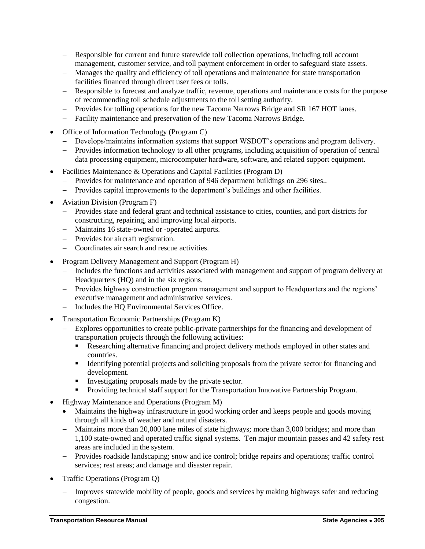- Responsible for current and future statewide toll collection operations, including toll account management, customer service, and toll payment enforcement in order to safeguard state assets.
- Manages the quality and efficiency of toll operations and maintenance for state transportation facilities financed through direct user fees or tolls.
- Responsible to forecast and analyze traffic, revenue, operations and maintenance costs for the purpose of recommending toll schedule adjustments to the toll setting authority.
- Provides for tolling operations for the new Tacoma Narrows Bridge and SR 167 HOT lanes.
- Facility maintenance and preservation of the new Tacoma Narrows Bridge.
- Office of Information Technology (Program C)
	- Develops/maintains information systems that support WSDOT's operations and program delivery.
	- Provides information technology to all other programs, including acquisition of operation of central data processing equipment, microcomputer hardware, software, and related support equipment.
- Facilities Maintenance & Operations and Capital Facilities (Program D)
	- Provides for maintenance and operation of 946 department buildings on 296 sites..
	- Provides capital improvements to the department's buildings and other facilities.
- Aviation Division (Program F)
	- Provides state and federal grant and technical assistance to cities, counties, and port districts for constructing, repairing, and improving local airports.
	- Maintains 16 state-owned or -operated airports.
	- Provides for aircraft registration.
	- Coordinates air search and rescue activities.
- Program Delivery Management and Support (Program H)
	- Includes the functions and activities associated with management and support of program delivery at Headquarters (HQ) and in the six regions.
	- Provides highway construction program management and support to Headquarters and the regions' executive management and administrative services.
	- Includes the HQ Environmental Services Office.
- Transportation Economic Partnerships (Program K)
	- Explores opportunities to create public-private partnerships for the financing and development of transportation projects through the following activities:
		- Researching alternative financing and project delivery methods employed in other states and countries.
		- Identifying potential projects and soliciting proposals from the private sector for financing and development.
		- Investigating proposals made by the private sector.
		- Providing technical staff support for the Transportation Innovative Partnership Program.
- Highway Maintenance and Operations (Program M)
	- Maintains the highway infrastructure in good working order and keeps people and goods moving through all kinds of weather and natural disasters.
	- Maintains more than 20,000 lane miles of state highways; more than 3,000 bridges; and more than 1,100 state-owned and operated traffic signal systems. Ten major mountain passes and 42 safety rest areas are included in the system.
	- Provides roadside landscaping; snow and ice control; bridge repairs and operations; traffic control services; rest areas; and damage and disaster repair.
- Traffic Operations (Program Q)
	- Improves statewide mobility of people, goods and services by making highways safer and reducing congestion.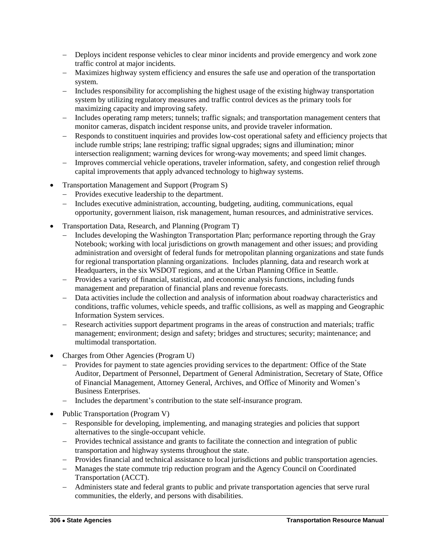- Deploys incident response vehicles to clear minor incidents and provide emergency and work zone traffic control at major incidents.
- Maximizes highway system efficiency and ensures the safe use and operation of the transportation system.
- Includes responsibility for accomplishing the highest usage of the existing highway transportation system by utilizing regulatory measures and traffic control devices as the primary tools for maximizing capacity and improving safety.
- Includes operating ramp meters; tunnels; traffic signals; and transportation management centers that monitor cameras, dispatch incident response units, and provide traveler information.
- Responds to constituent inquiries and provides low-cost operational safety and efficiency projects that include rumble strips; lane restriping; traffic signal upgrades; signs and illumination; minor intersection realignment; warning devices for wrong-way movements; and speed limit changes.
- Improves commercial vehicle operations, traveler information, safety, and congestion relief through capital improvements that apply advanced technology to highway systems.
- Transportation Management and Support (Program S)
	- Provides executive leadership to the department.
	- Includes executive administration, accounting, budgeting, auditing, communications, equal opportunity, government liaison, risk management, human resources, and administrative services.
- Transportation Data, Research, and Planning (Program T)
	- Includes developing the Washington Transportation Plan; performance reporting through the Gray Notebook; working with local jurisdictions on growth management and other issues; and providing administration and oversight of federal funds for metropolitan planning organizations and state funds for regional transportation planning organizations. Includes planning, data and research work at Headquarters, in the six WSDOT regions, and at the Urban Planning Office in Seattle.
	- Provides a variety of financial, statistical, and economic analysis functions, including funds management and preparation of financial plans and revenue forecasts.
	- Data activities include the collection and analysis of information about roadway characteristics and conditions, traffic volumes, vehicle speeds, and traffic collisions, as well as mapping and Geographic Information System services.
	- Research activities support department programs in the areas of construction and materials; traffic management; environment; design and safety; bridges and structures; security; maintenance; and multimodal transportation.
- Charges from Other Agencies (Program U)
	- Provides for payment to state agencies providing services to the department: Office of the State Auditor, Department of Personnel, Department of General Administration, Secretary of State, Office of Financial Management, Attorney General, Archives, and Office of Minority and Women's Business Enterprises.
	- Includes the department's contribution to the state self-insurance program.
- Public Transportation (Program V)
	- Responsible for developing, implementing, and managing strategies and policies that support alternatives to the single-occupant vehicle.
	- Provides technical assistance and grants to facilitate the connection and integration of public transportation and highway systems throughout the state.
	- Provides financial and technical assistance to local jurisdictions and public transportation agencies.
	- Manages the state commute trip reduction program and the Agency Council on Coordinated Transportation (ACCT).
	- Administers state and federal grants to public and private transportation agencies that serve rural communities, the elderly, and persons with disabilities.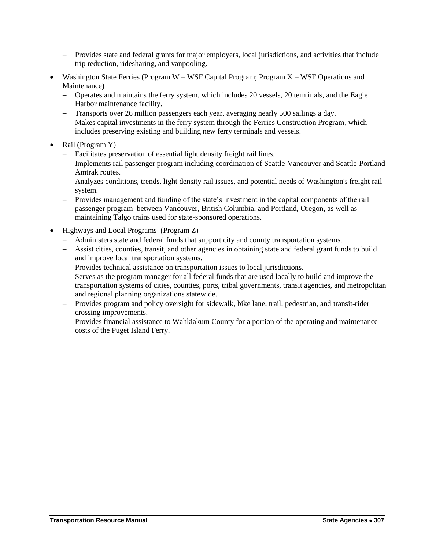- Provides state and federal grants for major employers, local jurisdictions, and activities that include trip reduction, ridesharing, and vanpooling.
- Washington State Ferries (Program W WSF Capital Program; Program X WSF Operations and Maintenance)
	- Operates and maintains the ferry system, which includes 20 vessels, 20 terminals, and the Eagle Harbor maintenance facility.
	- Transports over 26 million passengers each year, averaging nearly 500 sailings a day.
	- Makes capital investments in the ferry system through the Ferries Construction Program, which includes preserving existing and building new ferry terminals and vessels.
- Rail (Program Y)
	- Facilitates preservation of essential light density freight rail lines.
	- Implements rail passenger program including coordination of Seattle-Vancouver and Seattle-Portland Amtrak routes.
	- Analyzes conditions, trends, light density rail issues, and potential needs of Washington's freight rail system.
	- Provides management and funding of the state's investment in the capital components of the rail passenger program between Vancouver, British Columbia, and Portland, Oregon, as well as maintaining Talgo trains used for state-sponsored operations.
- Highways and Local Programs (Program Z)
	- Administers state and federal funds that support city and county transportation systems.
	- Assist cities, counties, transit, and other agencies in obtaining state and federal grant funds to build and improve local transportation systems.
	- Provides technical assistance on transportation issues to local jurisdictions.
	- Serves as the program manager for all federal funds that are used locally to build and improve the transportation systems of cities, counties, ports, tribal governments, transit agencies, and metropolitan and regional planning organizations statewide.
	- Provides program and policy oversight for sidewalk, bike lane, trail, pedestrian, and transit-rider crossing improvements.
	- Provides financial assistance to Wahkiakum County for a portion of the operating and maintenance costs of the Puget Island Ferry.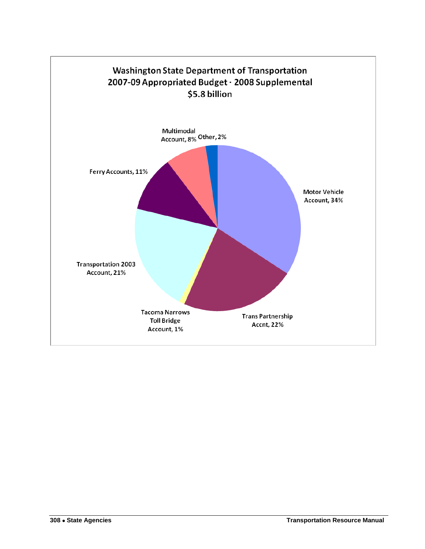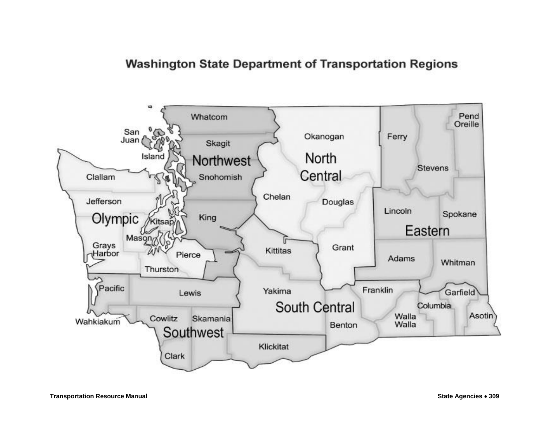# **Washington State Department of Transportation Regions**

<span id="page-18-0"></span>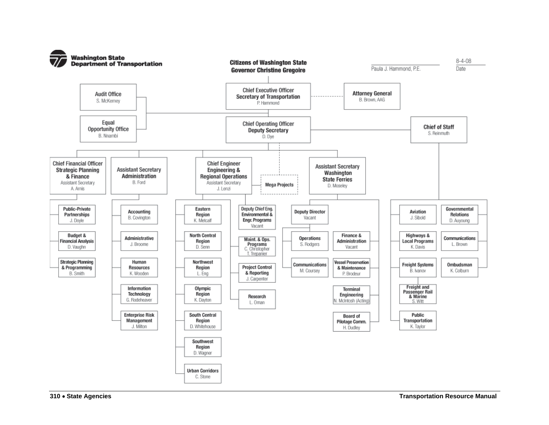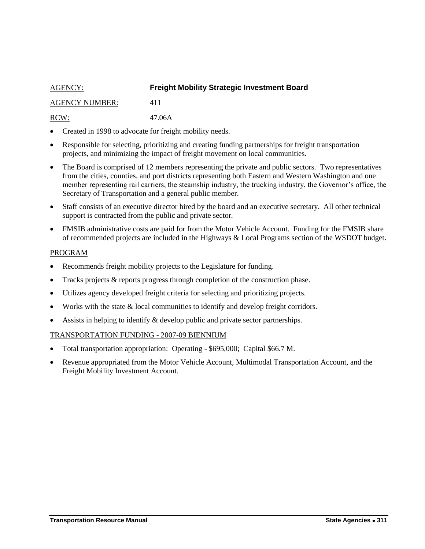## <span id="page-20-0"></span>AGENCY: **Freight Mobility Strategic Investment Board** AGENCY NUMBER: 411 RCW: 47.06A

- Created in 1998 to advocate for freight mobility needs.
- Responsible for selecting, prioritizing and creating funding partnerships for freight transportation projects, and minimizing the impact of freight movement on local communities.
- The Board is comprised of 12 members representing the private and public sectors. Two representatives from the cities, counties, and port districts representing both Eastern and Western Washington and one member representing rail carriers, the steamship industry, the trucking industry, the Governor's office, the Secretary of Transportation and a general public member.
- Staff consists of an executive director hired by the board and an executive secretary. All other technical support is contracted from the public and private sector.
- FMSIB administrative costs are paid for from the Motor Vehicle Account. Funding for the FMSIB share of recommended projects are included in the Highways & Local Programs section of the WSDOT budget.

#### PROGRAM

- Recommends freight mobility projects to the Legislature for funding.
- Tracks projects & reports progress through completion of the construction phase.
- Utilizes agency developed freight criteria for selecting and prioritizing projects.
- Works with the state & local communities to identify and develop freight corridors.
- Assists in helping to identify & develop public and private sector partnerships.

- Total transportation appropriation: Operating \$695,000; Capital \$66.7 M.
- Revenue appropriated from the Motor Vehicle Account, Multimodal Transportation Account, and the Freight Mobility Investment Account.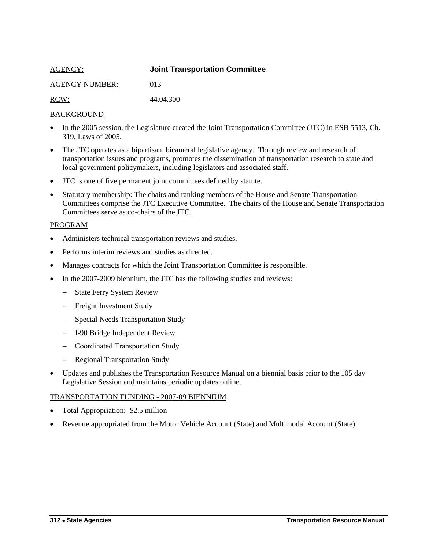<span id="page-21-0"></span>

| <b>AGENCY:</b>        | <b>Joint Transportation Committee</b> |
|-----------------------|---------------------------------------|
| <b>AGENCY NUMBER:</b> | 013                                   |
| RCW:                  | 44.04.300                             |

- In the 2005 session, the Legislature created the Joint Transportation Committee (JTC) in ESB 5513, Ch. 319, Laws of 2005.
- The JTC operates as a bipartisan, bicameral legislative agency. Through review and research of transportation issues and programs, promotes the dissemination of transportation research to state and local government policymakers, including legislators and associated staff.
- JTC is one of five permanent joint committees defined by statute.
- Statutory membership: The chairs and ranking members of the House and Senate Transportation Committees comprise the JTC Executive Committee. The chairs of the House and Senate Transportation Committees serve as co-chairs of the JTC.

#### PROGRAM

- Administers technical transportation reviews and studies.
- Performs interim reviews and studies as directed.
- Manages contracts for which the Joint Transportation Committee is responsible.
- In the 2007-2009 biennium, the JTC has the following studies and reviews:
	- State Ferry System Review
	- Freight Investment Study
	- Special Needs Transportation Study
	- I-90 Bridge Independent Review
	- Coordinated Transportation Study
	- Regional Transportation Study
- Updates and publishes the Transportation Resource Manual on a biennial basis prior to the 105 day Legislative Session and maintains periodic updates online.

- Total Appropriation: \$2.5 million
- Revenue appropriated from the Motor Vehicle Account (State) and Multimodal Account (State)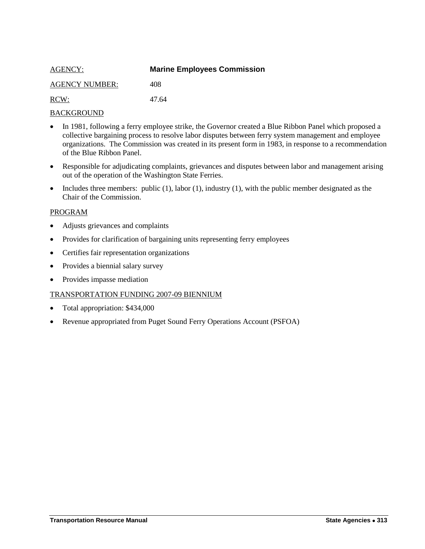<span id="page-22-0"></span>

| <b>AGENCY:</b>        | <b>Marine Employees Commission</b> |
|-----------------------|------------------------------------|
| <b>AGENCY NUMBER:</b> | 408                                |
| RCW:                  | 47.64                              |

- In 1981, following a ferry employee strike, the Governor created a Blue Ribbon Panel which proposed a collective bargaining process to resolve labor disputes between ferry system management and employee organizations. The Commission was created in its present form in 1983, in response to a recommendation of the Blue Ribbon Panel.
- Responsible for adjudicating complaints, grievances and disputes between labor and management arising out of the operation of the Washington State Ferries.
- Includes three members: public  $(1)$ , labor  $(1)$ , industry  $(1)$ , with the public member designated as the Chair of the Commission.

#### PROGRAM

- Adjusts grievances and complaints
- Provides for clarification of bargaining units representing ferry employees
- Certifies fair representation organizations
- Provides a biennial salary survey
- Provides impasse mediation

- Total appropriation: \$434,000
- Revenue appropriated from Puget Sound Ferry Operations Account (PSFOA)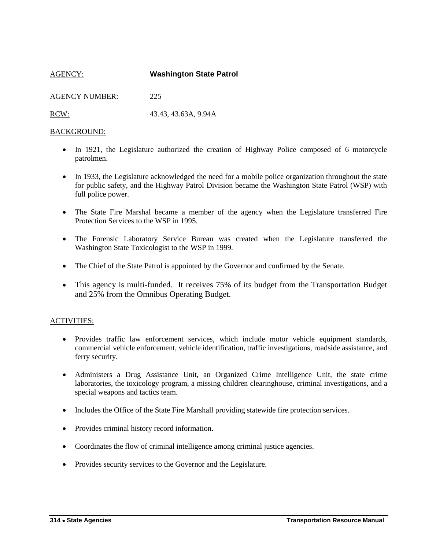<span id="page-23-0"></span>AGENCY: **Washington State Patrol** AGENCY NUMBER: 225 RCW: 43.43, 43.63A, 9.94A

#### BACKGROUND:

- In 1921, the Legislature authorized the creation of Highway Police composed of 6 motorcycle patrolmen.
- In 1933, the Legislature acknowledged the need for a mobile police organization throughout the state for public safety, and the Highway Patrol Division became the Washington State Patrol (WSP) with full police power.
- The State Fire Marshal became a member of the agency when the Legislature transferred Fire Protection Services to the WSP in 1995.
- The Forensic Laboratory Service Bureau was created when the Legislature transferred the Washington State Toxicologist to the WSP in 1999.
- The Chief of the State Patrol is appointed by the Governor and confirmed by the Senate.
- This agency is multi-funded. It receives 75% of its budget from the Transportation Budget and 25% from the Omnibus Operating Budget.

#### ACTIVITIES:

- Provides traffic law enforcement services, which include motor vehicle equipment standards, commercial vehicle enforcement, vehicle identification, traffic investigations, roadside assistance, and ferry security.
- Administers a Drug Assistance Unit, an Organized Crime Intelligence Unit, the state crime laboratories, the toxicology program, a missing children clearinghouse, criminal investigations, and a special weapons and tactics team.
- Includes the Office of the State Fire Marshall providing statewide fire protection services.
- Provides criminal history record information.
- Coordinates the flow of criminal intelligence among criminal justice agencies.
- Provides security services to the Governor and the Legislature.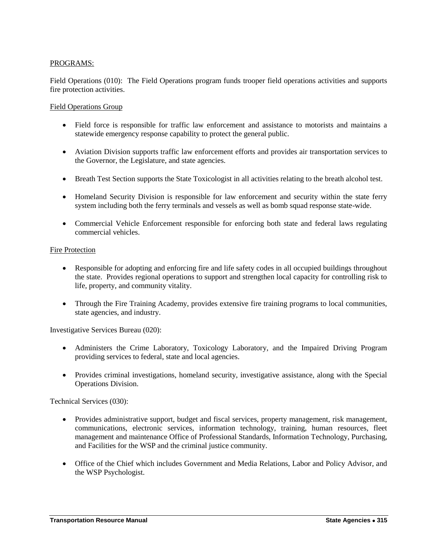## PROGRAMS:

Field Operations (010): The Field Operations program funds trooper field operations activities and supports fire protection activities.

#### Field Operations Group

- Field force is responsible for traffic law enforcement and assistance to motorists and maintains a statewide emergency response capability to protect the general public.
- Aviation Division supports traffic law enforcement efforts and provides air transportation services to the Governor, the Legislature, and state agencies.
- Breath Test Section supports the State Toxicologist in all activities relating to the breath alcohol test.
- Homeland Security Division is responsible for law enforcement and security within the state ferry system including both the ferry terminals and vessels as well as bomb squad response state-wide.
- Commercial Vehicle Enforcement responsible for enforcing both state and federal laws regulating commercial vehicles.

#### Fire Protection

- Responsible for adopting and enforcing fire and life safety codes in all occupied buildings throughout the state. Provides regional operations to support and strengthen local capacity for controlling risk to life, property, and community vitality.
- Through the Fire Training Academy, provides extensive fire training programs to local communities, state agencies, and industry.

Investigative Services Bureau (020):

- Administers the Crime Laboratory, Toxicology Laboratory, and the Impaired Driving Program providing services to federal, state and local agencies.
- Provides criminal investigations, homeland security, investigative assistance, along with the Special Operations Division.

Technical Services (030):

- Provides administrative support, budget and fiscal services, property management, risk management, communications, electronic services, information technology, training, human resources, fleet management and maintenance Office of Professional Standards, Information Technology, Purchasing, and Facilities for the WSP and the criminal justice community.
- Office of the Chief which includes Government and Media Relations, Labor and Policy Advisor, and the WSP Psychologist.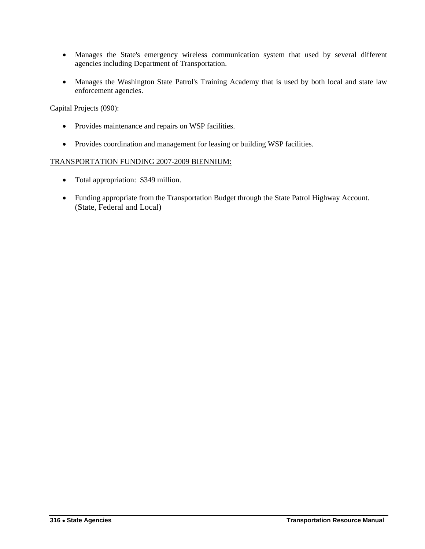- Manages the State's emergency wireless communication system that used by several different agencies including Department of Transportation.
- Manages the Washington State Patrol's Training Academy that is used by both local and state law enforcement agencies.

Capital Projects (090):

- Provides maintenance and repairs on WSP facilities.
- Provides coordination and management for leasing or building WSP facilities.

- Total appropriation: \$349 million.
- Funding appropriate from the Transportation Budget through the State Patrol Highway Account. (State, Federal and Local)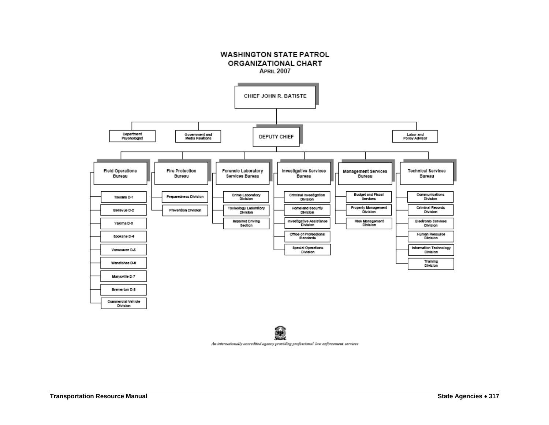



An internationally accredited agency providing professional law enforcement services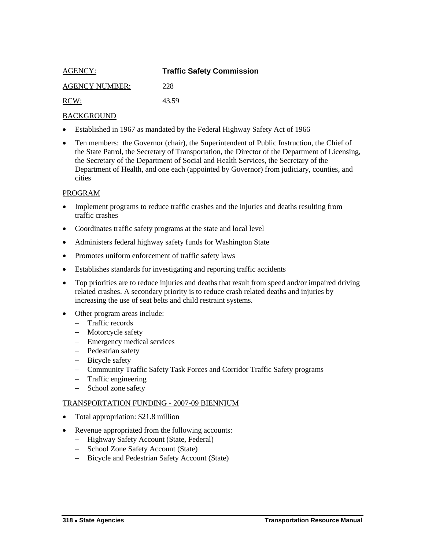<span id="page-27-0"></span>

| AGENCY:               | <b>Traffic Safety Commission</b> |
|-----------------------|----------------------------------|
| <b>AGENCY NUMBER:</b> | 228                              |
| RCW:                  | 43.59                            |

- Established in 1967 as mandated by the Federal Highway Safety Act of 1966
- Ten members: the Governor (chair), the Superintendent of Public Instruction, the Chief of the State Patrol, the Secretary of Transportation, the Director of the Department of Licensing, the Secretary of the Department of Social and Health Services, the Secretary of the Department of Health, and one each (appointed by Governor) from judiciary, counties, and cities

#### PROGRAM

- Implement programs to reduce traffic crashes and the injuries and deaths resulting from traffic crashes
- Coordinates traffic safety programs at the state and local level
- Administers federal highway safety funds for Washington State
- Promotes uniform enforcement of traffic safety laws
- Establishes standards for investigating and reporting traffic accidents
- Top priorities are to reduce injuries and deaths that result from speed and/or impaired driving related crashes. A secondary priority is to reduce crash related deaths and injuries by increasing the use of seat belts and child restraint systems.
- Other program areas include:
	- Traffic records
	- Motorcycle safety
	- Emergency medical services
	- Pedestrian safety
	- Bicycle safety
	- Community Traffic Safety Task Forces and Corridor Traffic Safety programs
	- Traffic engineering
	- School zone safety

- Total appropriation: \$21.8 million
- Revenue appropriated from the following accounts:
	- Highway Safety Account (State, Federal)
	- School Zone Safety Account (State)
	- Bicycle and Pedestrian Safety Account (State)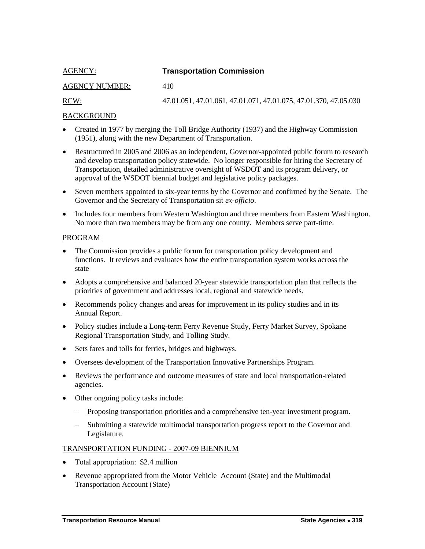## <span id="page-28-0"></span>AGENCY: **Transportation Commission**

## AGENCY NUMBER: 410

RCW: 47.01.051, 47.01.061, 47.01.071, 47.01.075, 47.01.370, 47.05.030

## BACKGROUND

- Created in 1977 by merging the Toll Bridge Authority (1937) and the Highway Commission (1951), along with the new Department of Transportation.
- Restructured in 2005 and 2006 as an independent, Governor-appointed public forum to research and develop transportation policy statewide. No longer responsible for hiring the Secretary of Transportation, detailed administrative oversight of WSDOT and its program delivery, or approval of the WSDOT biennial budget and legislative policy packages.
- Seven members appointed to six-year terms by the Governor and confirmed by the Senate. The Governor and the Secretary of Transportation sit *ex-officio*.
- Includes four members from Western Washington and three members from Eastern Washington. No more than two members may be from any one county. Members serve part-time.

#### PROGRAM

- The Commission provides a public forum for transportation policy development and functions. It reviews and evaluates how the entire transportation system works across the state
- Adopts a comprehensive and balanced 20-year statewide transportation plan that reflects the priorities of government and addresses local, regional and statewide needs.
- Recommends policy changes and areas for improvement in its policy studies and in its Annual Report.
- Policy studies include a Long-term Ferry Revenue Study, Ferry Market Survey, Spokane Regional Transportation Study, and Tolling Study.
- Sets fares and tolls for ferries, bridges and highways.
- Oversees development of the Transportation Innovative Partnerships Program.
- Reviews the performance and outcome measures of state and local transportation-related agencies.
- Other ongoing policy tasks include:
	- Proposing transportation priorities and a comprehensive ten-year investment program.
	- Submitting a statewide multimodal transportation progress report to the Governor and Legislature.

- Total appropriation: \$2.4 million
- Revenue appropriated from the Motor Vehicle Account (State) and the Multimodal Transportation Account (State)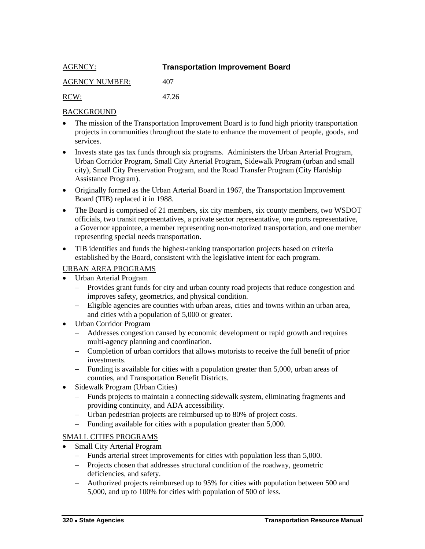<span id="page-29-0"></span>

| <b>AGENCY:</b>        | <b>Transportation Improvement Board</b> |
|-----------------------|-----------------------------------------|
| <b>AGENCY NUMBER:</b> | 407                                     |
| RCW:                  | 47 26                                   |

- The mission of the Transportation Improvement Board is to fund high priority transportation projects in communities throughout the state to enhance the movement of people, goods, and services.
- Invests state gas tax funds through six programs. Administers the Urban Arterial Program, Urban Corridor Program, Small City Arterial Program, Sidewalk Program (urban and small city), Small City Preservation Program, and the Road Transfer Program (City Hardship Assistance Program).
- Originally formed as the Urban Arterial Board in 1967, the Transportation Improvement Board (TIB) replaced it in 1988.
- The Board is comprised of 21 members, six city members, six county members, two WSDOT officials, two transit representatives, a private sector representative, one ports representative, a Governor appointee, a member representing non-motorized transportation, and one member representing special needs transportation.
- TIB identifies and funds the highest-ranking transportation projects based on criteria established by the Board, consistent with the legislative intent for each program.

## URBAN AREA PROGRAMS

- Urban Arterial Program
	- Provides grant funds for city and urban county road projects that reduce congestion and improves safety, geometrics, and physical condition.
	- Eligible agencies are counties with urban areas, cities and towns within an urban area, and cities with a population of 5,000 or greater.
- Urban Corridor Program
	- Addresses congestion caused by economic development or rapid growth and requires multi-agency planning and coordination.
	- Completion of urban corridors that allows motorists to receive the full benefit of prior investments.
	- Funding is available for cities with a population greater than 5,000, urban areas of counties, and Transportation Benefit Districts.
- Sidewalk Program (Urban Cities)
	- Funds projects to maintain a connecting sidewalk system, eliminating fragments and providing continuity, and ADA accessibility.
	- Urban pedestrian projects are reimbursed up to 80% of project costs.
	- Funding available for cities with a population greater than 5,000.

## SMALL CITIES PROGRAMS

- Small City Arterial Program
	- Funds arterial street improvements for cities with population less than 5,000.
	- Projects chosen that addresses structural condition of the roadway, geometric deficiencies, and safety.
	- Authorized projects reimbursed up to 95% for cities with population between 500 and 5,000, and up to 100% for cities with population of 500 of less.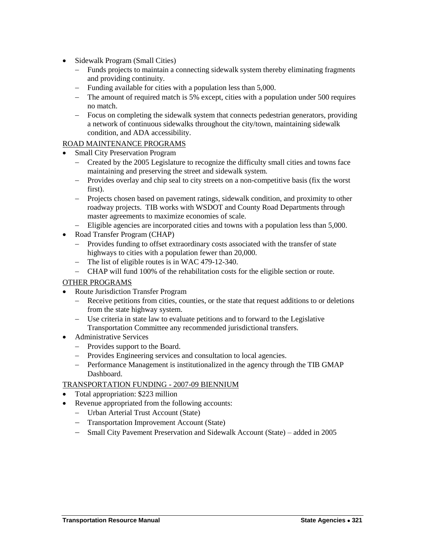- Sidewalk Program (Small Cities)
	- Funds projects to maintain a connecting sidewalk system thereby eliminating fragments and providing continuity.
	- Funding available for cities with a population less than 5,000.
	- The amount of required match is 5% except, cities with a population under 500 requires no match.
	- Focus on completing the sidewalk system that connects pedestrian generators, providing a network of continuous sidewalks throughout the city/town, maintaining sidewalk condition, and ADA accessibility.

## ROAD MAINTENANCE PROGRAMS

- Small City Preservation Program
	- Created by the 2005 Legislature to recognize the difficulty small cities and towns face maintaining and preserving the street and sidewalk system.
	- Provides overlay and chip seal to city streets on a non-competitive basis (fix the worst first).
	- Projects chosen based on pavement ratings, sidewalk condition, and proximity to other roadway projects. TIB works with WSDOT and County Road Departments through master agreements to maximize economies of scale.
	- Eligible agencies are incorporated cities and towns with a population less than 5,000.
- Road Transfer Program (CHAP)
	- Provides funding to offset extraordinary costs associated with the transfer of state highways to cities with a population fewer than 20,000.
	- The list of eligible routes is in WAC 479-12-340.
	- CHAP will fund 100% of the rehabilitation costs for the eligible section or route.

## OTHER PROGRAMS

- Route Jurisdiction Transfer Program
	- Receive petitions from cities, counties, or the state that request additions to or deletions from the state highway system.
	- Use criteria in state law to evaluate petitions and to forward to the Legislative Transportation Committee any recommended jurisdictional transfers.
- Administrative Services
	- Provides support to the Board.
	- Provides Engineering services and consultation to local agencies.
	- Performance Management is institutionalized in the agency through the TIB GMAP Dashboard.

- Total appropriation: \$223 million
- Revenue appropriated from the following accounts:
	- Urban Arterial Trust Account (State)
	- Transportation Improvement Account (State)
	- Small City Pavement Preservation and Sidewalk Account (State) added in 2005